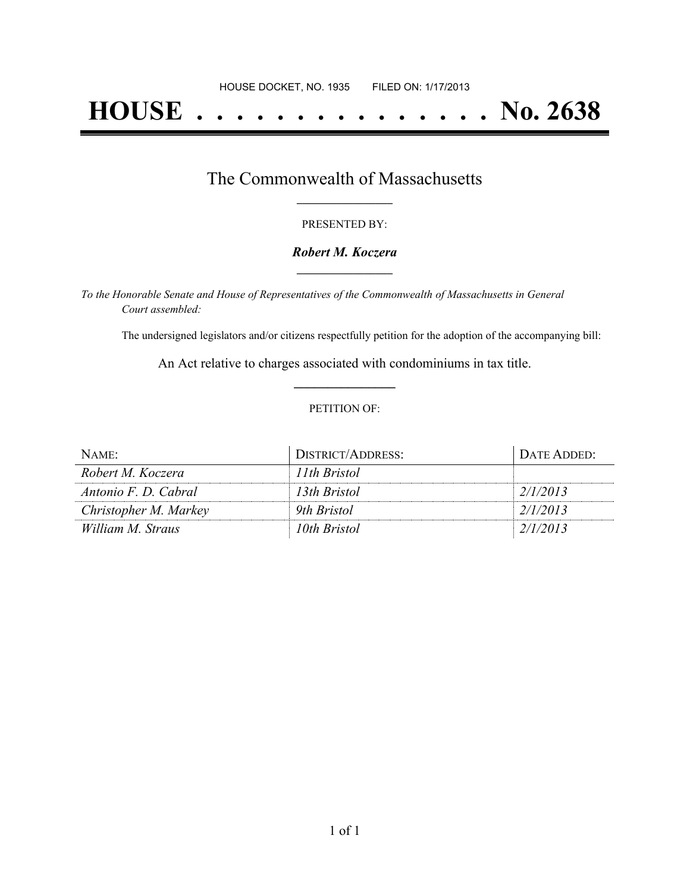# **HOUSE . . . . . . . . . . . . . . . No. 2638**

## The Commonwealth of Massachusetts **\_\_\_\_\_\_\_\_\_\_\_\_\_\_\_\_\_**

#### PRESENTED BY:

#### *Robert M. Koczera* **\_\_\_\_\_\_\_\_\_\_\_\_\_\_\_\_\_**

*To the Honorable Senate and House of Representatives of the Commonwealth of Massachusetts in General Court assembled:*

The undersigned legislators and/or citizens respectfully petition for the adoption of the accompanying bill:

An Act relative to charges associated with condominiums in tax title. **\_\_\_\_\_\_\_\_\_\_\_\_\_\_\_**

#### PETITION OF:

| NAME:                 | <b>DISTRICT/ADDRESS:</b> | DATE ADDED: |
|-----------------------|--------------------------|-------------|
| Robert M. Koczera     | 11th Bristol             |             |
| Antonio F. D. Cabral  | 13th Bristol             | 2/1/2013    |
| Christopher M. Markey | 9th Bristol              | 2/1/2013    |
| William M. Straus     | 10th Bristol             | 2/1/2013    |